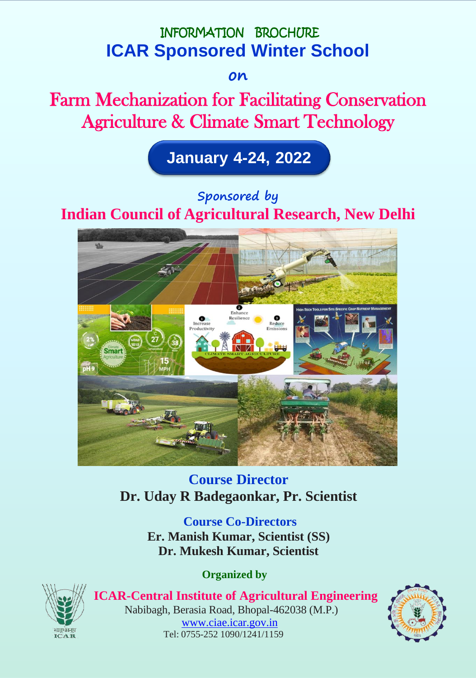

**on**

Farm Mechanization for Facilitating Conservation Agriculture & Climate Smart Technology



# **Sponsored by**

# **Indian Council of Agricultural Research, New Delhi**



**Course Director Dr. Uday R Badegaonkar, Pr. Scientist**

> **Course Co-Directors Er. Manish Kumar, Scientist (SS) Dr. Mukesh Kumar, Scientist**

> > **Organized by**



 **ICAR-Central Institute of Agricultural Engineering** Nabibagh, Berasia Road, Bhopal-462038 (M.P.) [www.ciae.icar.gov.in](http://www.ciae.icar.gov.in/) Tel: 0755-252 1090/1241/1159

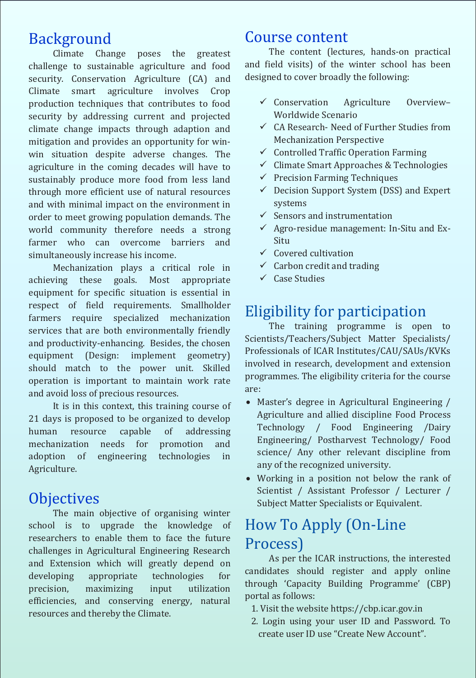# Background

Climate Change poses the greatest challenge to sustainable agriculture and food security. Conservation Agriculture (CA) and Climate smart agriculture involves Crop production techniques that contributes to food security by addressing current and projected climate change impacts through adaption and mitigation and provides an opportunity for winwin situation despite adverse changes. The agriculture in the coming decades will have to sustainably produce more food from less land through more efficient use of natural resources and with minimal impact on the environment in order to meet growing population demands. The world community therefore needs a strong farmer who can overcome barriers and simultaneously increase his income.

Mechanization plays a critical role in achieving these goals. Most appropriate equipment for specific situation is essential in respect of field requirements. Smallholder farmers require specialized mechanization services that are both environmentally friendly and productivity-enhancing. Besides, the chosen equipment (Design: implement geometry) should match to the power unit. Skilled operation is important to maintain work rate and avoid loss of precious resources.

It is in this context, this training course of 21 days is proposed to be organized to develop human resource capable of addressing mechanization needs for promotion and adoption of engineering technologies in Agriculture.

# **Objectives**

The main objective of organising winter school is to upgrade the knowledge of researchers to enable them to face the future challenges in Agricultural Engineering Research and Extension which will greatly depend on developing appropriate technologies for precision, maximizing input utilization efficiencies, and conserving energy, natural resources and thereby the Climate.

## Course content

The content (lectures, hands-on practical and field visits) of the winter school has been designed to cover broadly the following:

- $\checkmark$  Conservation Agriculture Overview-Worldwide Scenario
- $\checkmark$  CA Research- Need of Further Studies from Mechanization Perspective
- $\checkmark$  Controlled Traffic Operation Farming
- $\checkmark$  Climate Smart Approaches & Technologies
- $\checkmark$  Precision Farming Techniques
- $\checkmark$  Decision Support System (DSS) and Expert systems
- $\checkmark$  Sensors and instrumentation
- $\checkmark$  Agro-residue management: In-Situ and Ex-Situ
- $\checkmark$  Covered cultivation
- $\checkmark$  Carbon credit and trading
- $\checkmark$  Case Studies

# Eligibility for participation

The training programme is open to Scientists/Teachers/Subject Matter Specialists/ Professionals of ICAR Institutes/CAU/SAUs/KVKs involved in research, development and extension programmes. The eligibility criteria for the course are:

- Master's degree in Agricultural Engineering / Agriculture and allied discipline Food Process Technology / Food Engineering /Dairy Engineering/ Postharvest Technology/ Food science/ Any other relevant discipline from any of the recognized university.
- Working in a position not below the rank of Scientist / Assistant Professor / Lecturer / Subject Matter Specialists or Equivalent.

# How To Apply (On-Line Process)

As per the ICAR instructions, the interested candidates should register and apply online through 'Capacity Building Programme' (CBP) portal as follows:

- 1. Visit the website https://cbp.icar.gov.in
- 2. Login using your user ID and Password. To create user ID use "Create New Account".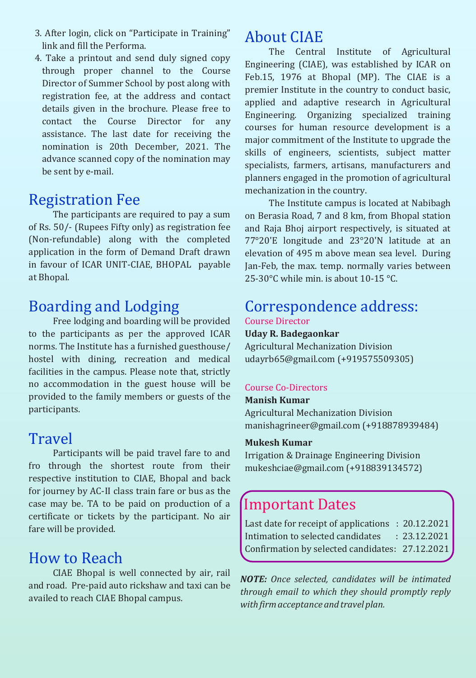- 3. After login, click on "Participate in Training" link and fill the Performa.
- 4. Take a printout and send duly signed copy through proper channel to the Course Director of Summer School by post along with registration fee, at the address and contact details given in the brochure. Please free to contact the Course Director for any assistance. The last date for receiving the nomination is 20th December, 2021. The advance scanned copy of the nomination may be sent by e-mail.

# Registration Fee

The participants are required to pay a sum of Rs. 50/- (Rupees Fifty only) as registration fee (Non-refundable) along with the completed application in the form of Demand Draft drawn in favour of ICAR UNIT-CIAE, BHOPAL payable at Bhopal.

# Boarding and Lodging

Free lodging and boarding will be provided to the participants as per the approved ICAR norms. The Institute has a furnished guesthouse/ hostel with dining, recreation and medical facilities in the campus. Please note that, strictly no accommodation in the guest house will be provided to the family members or guests of the participants.

## **Travel**

Participants will be paid travel fare to and fro through the shortest route from their respective institution to CIAE, Bhopal and back for journey by AC-II class train fare or bus as the case may be. TA to be paid on production of a certificate or tickets by the participant. No air fare will be provided.

# How to Reach

CIAE Bhopal is well connected by air, rail and road. Pre-paid auto rickshaw and taxi can be availed to reach CIAE Bhopal campus.

# About CIAE

The Central Institute of Agricultural Engineering (CIAE), was established by ICAR on Feb.15, 1976 at Bhopal (MP). The CIAE is a premier Institute in the country to conduct basic, applied and adaptive research in Agricultural Engineering. Organizing specialized training courses for human resource development is a major commitment of the Institute to upgrade the skills of engineers, scientists, subject matter specialists, farmers, artisans, manufacturers and planners engaged in the promotion of agricultural mechanization in the country.

The Institute campus is located at Nabibagh on Berasia Road, 7 and 8 km, from Bhopal station and Raja Bhoj airport respectively, is situated at 77°20'E longitude and 23°20'N latitude at an elevation of 495 m above mean sea level. During Jan-Feb, the max. temp. normally varies between 25-30°C while min. is about 10-15 °C.

### Correspondence address: Course Director

### **Uday R. Badegaonkar**

Agricultural Mechanization Division [udayrb65@gmail.com](mailto:udayrb65@gmail.com) (+919575509305)

### Course Co-Directors

#### **Manish Kumar**

Agricultural Mechanization Division [manishagrineer@gmail.com](mailto:manishagrineer@gmail.com) (+918878939484)

### **Mukesh Kumar**

Irrigation & Drainage Engineering Division [mukeshciae@gmail.com](mailto:mukeshciae@gmail.com) (+918839134572)

# Important Dates

Last date for receipt of applications : 20.12.2021 Intimation to selected candidates : 23.12.2021 Confirmation by selected candidates: 27.12.2021

*NOTE: Once selected, candidates will be intimated through email to which they should promptly reply with firmacceptance andtravel plan.*